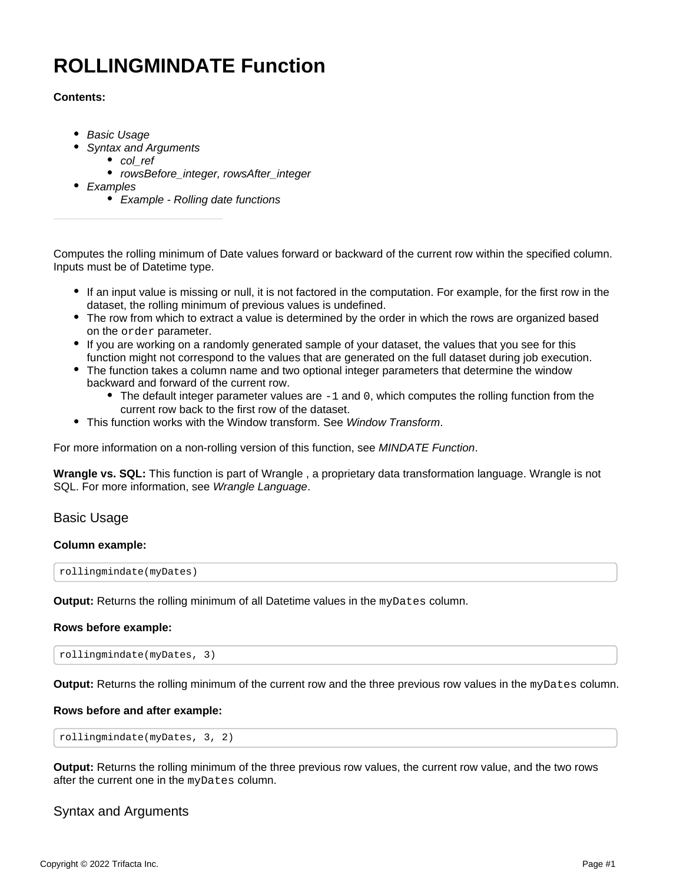# <span id="page-0-2"></span>**ROLLINGMINDATE Function**

# **Contents:**

- [Basic Usage](#page-0-0)
- [Syntax and Arguments](#page-0-1)
	- [col\\_ref](#page-1-0)
	- rowsBefore integer, rowsAfter integer
- [Examples](#page-1-2)
	- [Example Rolling date functions](#page-1-3)

Computes the rolling minimum of Date values forward or backward of the current row within the specified column. Inputs must be of Datetime type.

- If an input value is missing or null, it is not factored in the computation. For example, for the first row in the dataset, the rolling minimum of previous values is undefined.
- The row from which to extract a value is determined by the order in which the rows are organized based on the order parameter.
- If you are working on a randomly generated sample of your dataset, the values that you see for this function might not correspond to the values that are generated on the full dataset during job execution.
- The function takes a column name and two optional integer parameters that determine the window backward and forward of the current row.
	- $\bullet$  The default integer parameter values are  $-1$  and 0, which computes the rolling function from the current row back to the first row of the dataset.
- This function works with the Window transform. See [Window Transform](https://docs.trifacta.com/display/r082/Window+Transform).

For more information on a non-rolling version of this function, see [MINDATE Function](https://docs.trifacta.com/display/r082/MINDATE+Function).

**Wrangle vs. SQL:** This function is part of Wrangle , a proprietary data transformation language. Wrangle is not SQL. For more information, see [Wrangle Language](https://docs.trifacta.com/display/r082/Wrangle+Language).

# <span id="page-0-0"></span>Basic Usage

## **Column example:**

rollingmindate(myDates)

**Output:** Returns the rolling minimum of all Datetime values in the myDates column.

## **Rows before example:**

```
rollingmindate(myDates, 3)
```
**Output:** Returns the rolling minimum of the current row and the three previous row values in the myDates column.

## **Rows before and after example:**

rollingmindate(myDates, 3, 2)

**Output:** Returns the rolling minimum of the three previous row values, the current row value, and the two rows after the current one in the myDates column.

# <span id="page-0-1"></span>Syntax and Arguments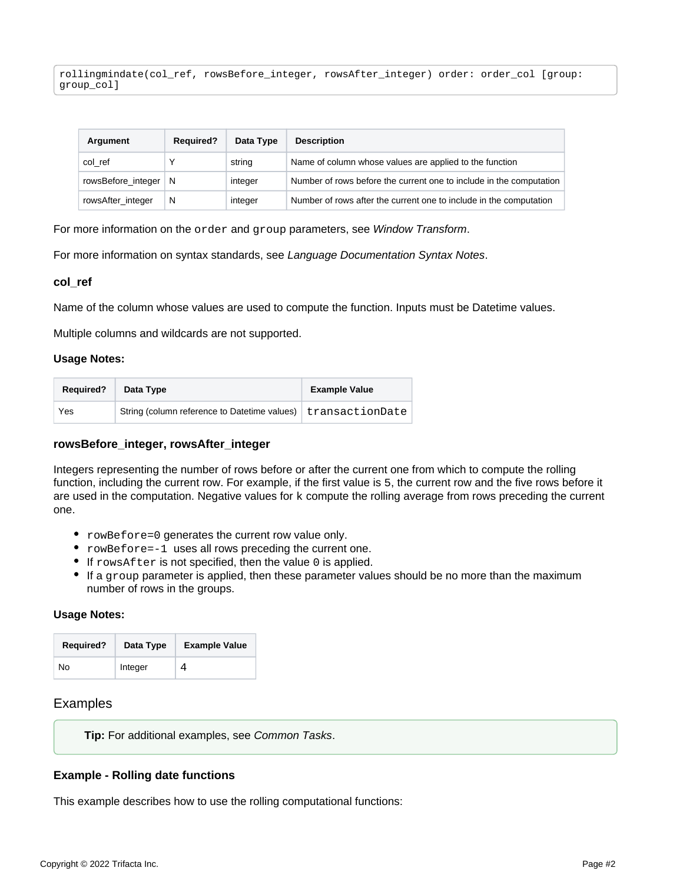rollingmindate(col\_ref, rowsBefore\_integer, rowsAfter\_integer) order: order\_col [group: group\_col]

| Argument               | <b>Required?</b> | Data Type | <b>Description</b>                                                  |
|------------------------|------------------|-----------|---------------------------------------------------------------------|
| col ref                |                  | string    | Name of column whose values are applied to the function             |
| rowsBefore_integer   N |                  | integer   | Number of rows before the current one to include in the computation |
| rowsAfter_integer      | N                | integer   | Number of rows after the current one to include in the computation  |

For more information on the order and group parameters, see [Window Transform](https://docs.trifacta.com/display/r082/Window+Transform).

For more information on syntax standards, see [Language Documentation Syntax Notes](https://docs.trifacta.com/display/r082/Language+Documentation+Syntax+Notes).

#### <span id="page-1-0"></span>**col\_ref**

Name of the column whose values are used to compute the function. Inputs must be Datetime values.

Multiple columns and wildcards are not supported.

#### **Usage Notes:**

| <b>Required?</b> | Data Type                                                      | <b>Example Value</b> |
|------------------|----------------------------------------------------------------|----------------------|
| Yes              | String (column reference to Datetime values)   transactionDate |                      |

#### <span id="page-1-1"></span>**rowsBefore\_integer, rowsAfter\_integer**

Integers representing the number of rows before or after the current one from which to compute the rolling function, including the current row. For example, if the first value is 5, the current row and the five rows before it are used in the computation. Negative values for k compute the rolling average from rows preceding the current one.

- rowBefore=0 generates the current row value only.
- rowBefore=-1 uses all rows preceding the current one.
- $\bullet$  If rowsAfter is not specified, then the value 0 is applied.
- If a group parameter is applied, then these parameter values should be no more than the maximum number of rows in the groups.

#### **Usage Notes:**

| <b>Required?</b> | Data Type | <b>Example Value</b> |
|------------------|-----------|----------------------|
| No               | Integer   | 4                    |

## <span id="page-1-2"></span>Examples

**Tip:** For additional examples, see [Common Tasks](https://docs.trifacta.com/display/r082/Common+Tasks).

#### <span id="page-1-3"></span>**Example - Rolling date functions**

This example describes how to use the rolling computational functions: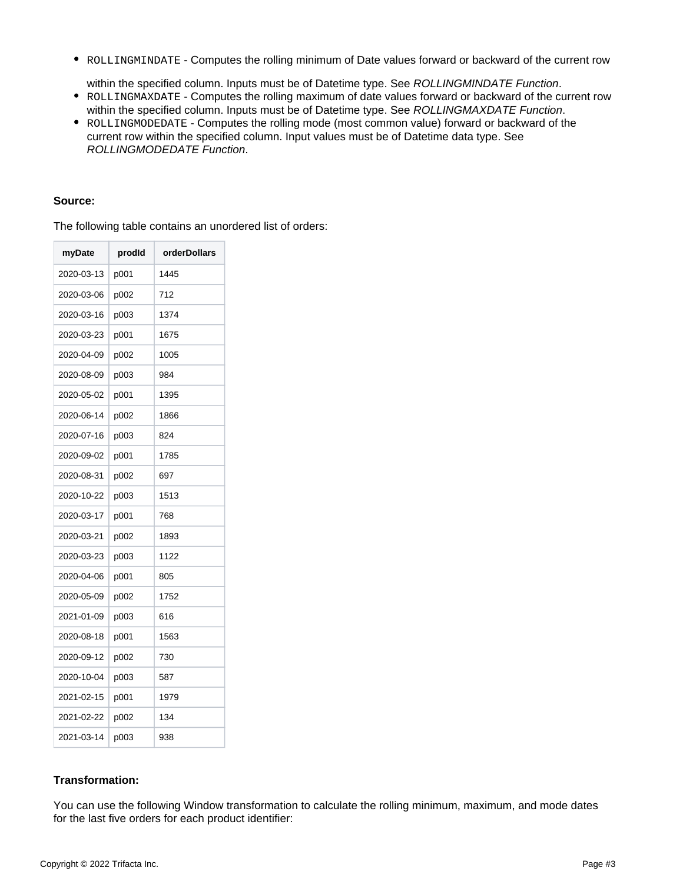• ROLLINGMINDATE - Computes the rolling minimum of Date values forward or backward of the current row

within the specified column. Inputs must be of Datetime type. See [ROLLINGMINDATE Function](#page-0-2).

- ROLLINGMAXDATE Computes the rolling maximum of date values forward or backward of the current row within the specified column. Inputs must be of Datetime type. See [ROLLINGMAXDATE Function](https://docs.trifacta.com/display/r082/ROLLINGMAXDATE+Function).
- ROLLINGMODEDATE Computes the rolling mode (most common value) forward or backward of the current row within the specified column. Input values must be of Datetime data type. See [ROLLINGMODEDATE Function](https://docs.trifacta.com/display/r082/ROLLINGMODEDATE+Function).

## **Source:**

The following table contains an unordered list of orders:

| myDate     | prodid | orderDollars |
|------------|--------|--------------|
| 2020-03-13 | p001   | 1445         |
| 2020-03-06 | p002   | 712          |
| 2020-03-16 | p003   | 1374         |
| 2020-03-23 | p001   | 1675         |
| 2020-04-09 | p002   | 1005         |
| 2020-08-09 | p003   | 984          |
| 2020-05-02 | p001   | 1395         |
| 2020-06-14 | p002   | 1866         |
| 2020-07-16 | p003   | 824          |
| 2020-09-02 | p001   | 1785         |
| 2020-08-31 | p002   | 697          |
| 2020-10-22 | p003   | 1513         |
| 2020-03-17 | p001   | 768          |
| 2020-03-21 | p002   | 1893         |
| 2020-03-23 | p003   | 1122         |
| 2020-04-06 | p001   | 805          |
| 2020-05-09 | p002   | 1752         |
| 2021-01-09 | p003   | 616          |
| 2020-08-18 | p001   | 1563         |
| 2020-09-12 | p002   | 730          |
| 2020-10-04 | p003   | 587          |
| 2021-02-15 | p001   | 1979         |
| 2021-02-22 | p002   | 134          |
| 2021-03-14 | p003   | 938          |

# **Transformation:**

You can use the following Window transformation to calculate the rolling minimum, maximum, and mode dates for the last five orders for each product identifier: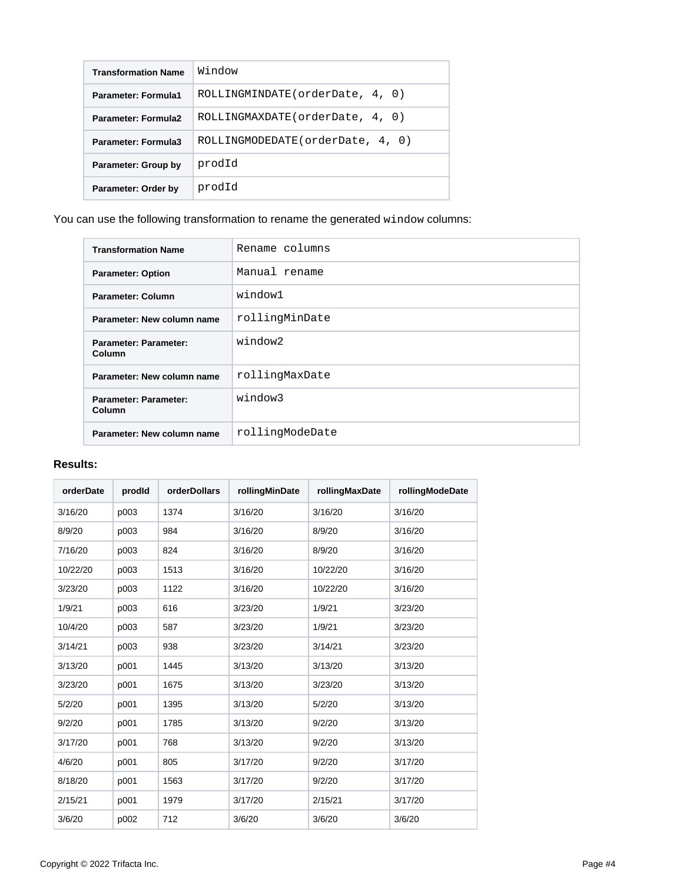| <b>Transformation Name</b> | Window                            |
|----------------------------|-----------------------------------|
| <b>Parameter: Formula1</b> | ROLLINGMINDATE (orderDate, 4, 0)  |
| <b>Parameter: Formula2</b> | ROLLINGMAXDATE(orderDate, 4, 0)   |
| Parameter: Formula3        | ROLLINGMODEDATE (orderDate, 4, 0) |
| Parameter: Group by        | prodId                            |
| Parameter: Order by        | prodId                            |

You can use the following transformation to rename the generated window columns:

| <b>Transformation Name</b>             | Rename columns  |  |  |
|----------------------------------------|-----------------|--|--|
| <b>Parameter: Option</b>               | Manual rename   |  |  |
| Parameter: Column                      | window1         |  |  |
| Parameter: New column name             | rollingMinDate  |  |  |
| <b>Parameter: Parameter:</b><br>Column | window2         |  |  |
| Parameter: New column name             | rollingMaxDate  |  |  |
| <b>Parameter: Parameter:</b><br>Column | window3         |  |  |
| Parameter: New column name             | rollingModeDate |  |  |

# **Results:**

| orderDate | prodld | orderDollars | rollingMinDate | rollingMaxDate | rollingModeDate |
|-----------|--------|--------------|----------------|----------------|-----------------|
| 3/16/20   | p003   | 1374         | 3/16/20        | 3/16/20        | 3/16/20         |
| 8/9/20    | p003   | 984          | 3/16/20        | 8/9/20         | 3/16/20         |
| 7/16/20   | p003   | 824          | 3/16/20        | 8/9/20         | 3/16/20         |
| 10/22/20  | p003   | 1513         | 3/16/20        | 10/22/20       | 3/16/20         |
| 3/23/20   | p003   | 1122         | 3/16/20        | 10/22/20       | 3/16/20         |
| 1/9/21    | p003   | 616          | 3/23/20        | 1/9/21         | 3/23/20         |
| 10/4/20   | p003   | 587          | 3/23/20        | 1/9/21         | 3/23/20         |
| 3/14/21   | p003   | 938          | 3/23/20        | 3/14/21        | 3/23/20         |
| 3/13/20   | p001   | 1445         | 3/13/20        | 3/13/20        | 3/13/20         |
| 3/23/20   | p001   | 1675         | 3/13/20        | 3/23/20        | 3/13/20         |
| 5/2/20    | p001   | 1395         | 3/13/20        | 5/2/20         | 3/13/20         |
| 9/2/20    | p001   | 1785         | 3/13/20        | 9/2/20         | 3/13/20         |
| 3/17/20   | p001   | 768          | 3/13/20        | 9/2/20         | 3/13/20         |
| 4/6/20    | p001   | 805          | 3/17/20        | 9/2/20         | 3/17/20         |
| 8/18/20   | p001   | 1563         | 3/17/20        | 9/2/20         | 3/17/20         |
| 2/15/21   | p001   | 1979         | 3/17/20        | 2/15/21        | 3/17/20         |
| 3/6/20    | p002   | 712          | 3/6/20         | 3/6/20         | 3/6/20          |